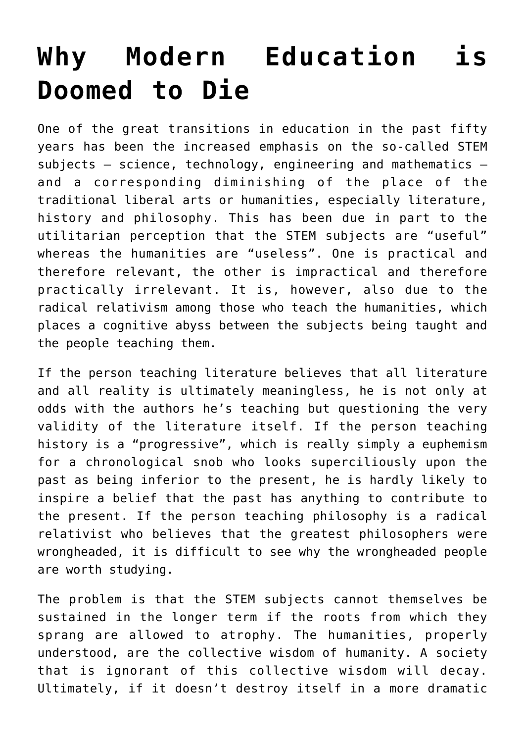## **[Why Modern Education is](https://intellectualtakeout.org/2016/09/why-modern-education-is-doomed-to-die/) [Doomed to Die](https://intellectualtakeout.org/2016/09/why-modern-education-is-doomed-to-die/)**

One of the great transitions in education in the past fifty years has been the increased emphasis on the so-called STEM subjects – science, technology, engineering and mathematics – and a corresponding diminishing of the place of the traditional liberal arts or humanities, especially literature, history and philosophy. This has been due in part to the utilitarian perception that the STEM subjects are "useful" whereas the humanities are "useless". One is practical and therefore relevant, the other is impractical and therefore practically irrelevant. It is, however, also due to the radical relativism among those who teach the humanities, which places a cognitive abyss between the subjects being taught and the people teaching them.

If the person teaching literature believes that all literature and all reality is ultimately meaningless, he is not only at odds with the authors he's teaching but questioning the very validity of the literature itself. If the person teaching history is a "progressive", which is really simply a euphemism for a chronological snob who looks superciliously upon the past as being inferior to the present, he is hardly likely to inspire a belief that the past has anything to contribute to the present. If the person teaching philosophy is a radical relativist who believes that the greatest philosophers were wrongheaded, it is difficult to see why the wrongheaded people are worth studying.

The problem is that the STEM subjects cannot themselves be sustained in the longer term if the roots from which they sprang are allowed to atrophy. The humanities, properly understood, are the collective wisdom of humanity. A society that is ignorant of this collective wisdom will decay. Ultimately, if it doesn't destroy itself in a more dramatic